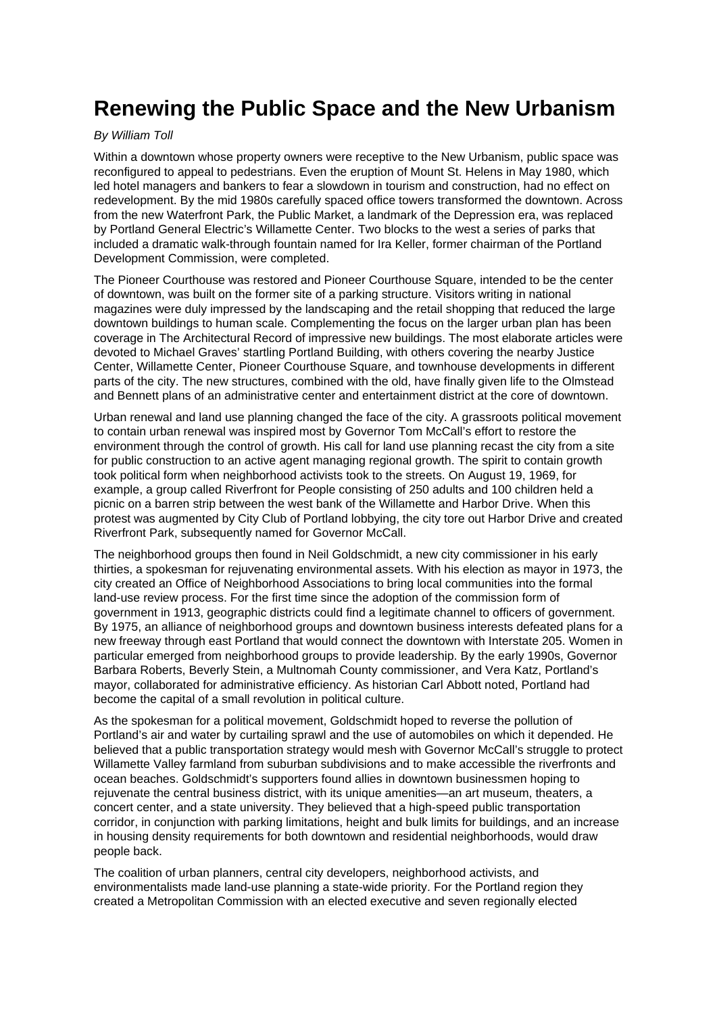## **Renewing the Public Space and the New Urbanism**

## By William Toll

Within a downtown whose property owners were receptive to the New Urbanism, public space was reconfigured to appeal to pedestrians. Even the eruption of Mount St. Helens in May 1980, which led hotel managers and bankers to fear a slowdown in tourism and construction, had no effect on redevelopment. By the mid 1980s carefully spaced office towers transformed the downtown. Across from the new Waterfront Park, the Public Market, a landmark of the Depression era, was replaced by Portland General Electric's Willamette Center. Two blocks to the west a series of parks that included a dramatic walk-through fountain named for Ira Keller, former chairman of the Portland Development Commission, were completed.

The Pioneer Courthouse was restored and Pioneer Courthouse Square, intended to be the center of downtown, was built on the former site of a parking structure. Visitors writing in national magazines were duly impressed by the landscaping and the retail shopping that reduced the large downtown buildings to human scale. Complementing the focus on the larger urban plan has been coverage in The Architectural Record of impressive new buildings. The most elaborate articles were devoted to Michael Graves' startling Portland Building, with others covering the nearby Justice Center, Willamette Center, Pioneer Courthouse Square, and townhouse developments in different parts of the city. The new structures, combined with the old, have finally given life to the Olmstead and Bennett plans of an administrative center and entertainment district at the core of downtown.

Urban renewal and land use planning changed the face of the city. A grassroots political movement to contain urban renewal was inspired most by Governor Tom McCall's effort to restore the environment through the control of growth. His call for land use planning recast the city from a site for public construction to an active agent managing regional growth. The spirit to contain growth took political form when neighborhood activists took to the streets. On August 19, 1969, for example, a group called Riverfront for People consisting of 250 adults and 100 children held a picnic on a barren strip between the west bank of the Willamette and Harbor Drive. When this protest was augmented by City Club of Portland lobbying, the city tore out Harbor Drive and created Riverfront Park, subsequently named for Governor McCall.

The neighborhood groups then found in Neil Goldschmidt, a new city commissioner in his early thirties, a spokesman for rejuvenating environmental assets. With his election as mayor in 1973, the city created an Office of Neighborhood Associations to bring local communities into the formal land-use review process. For the first time since the adoption of the commission form of government in 1913, geographic districts could find a legitimate channel to officers of government. By 1975, an alliance of neighborhood groups and downtown business interests defeated plans for a new freeway through east Portland that would connect the downtown with Interstate 205. Women in particular emerged from neighborhood groups to provide leadership. By the early 1990s, Governor Barbara Roberts, Beverly Stein, a Multnomah County commissioner, and Vera Katz, Portland's mayor, collaborated for administrative efficiency. As historian Carl Abbott noted, Portland had become the capital of a small revolution in political culture.

As the spokesman for a political movement, Goldschmidt hoped to reverse the pollution of Portland's air and water by curtailing sprawl and the use of automobiles on which it depended. He believed that a public transportation strategy would mesh with Governor McCall's struggle to protect Willamette Valley farmland from suburban subdivisions and to make accessible the riverfronts and ocean beaches. Goldschmidt's supporters found allies in downtown businessmen hoping to rejuvenate the central business district, with its unique amenities—an art museum, theaters, a concert center, and a state university. They believed that a high-speed public transportation corridor, in conjunction with parking limitations, height and bulk limits for buildings, and an increase in housing density requirements for both downtown and residential neighborhoods, would draw people back.

The coalition of urban planners, central city developers, neighborhood activists, and environmentalists made land-use planning a state-wide priority. For the Portland region they created a Metropolitan Commission with an elected executive and seven regionally elected